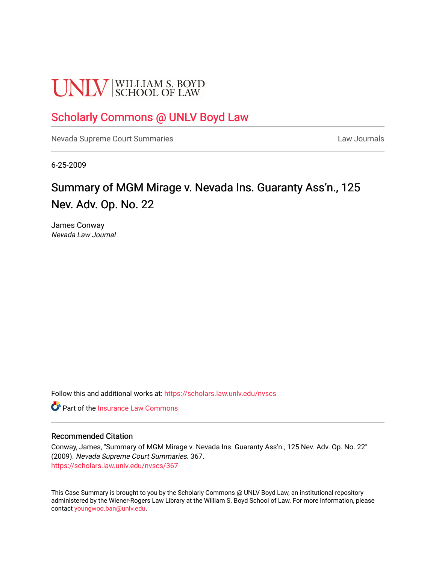# **UNLV** SCHOOL OF LAW

## [Scholarly Commons @ UNLV Boyd Law](https://scholars.law.unlv.edu/)

[Nevada Supreme Court Summaries](https://scholars.law.unlv.edu/nvscs) **Law Journals** Law Journals

6-25-2009

# Summary of MGM Mirage v. Nevada Ins. Guaranty Ass'n., 125 Nev. Adv. Op. No. 22

James Conway Nevada Law Journal

Follow this and additional works at: [https://scholars.law.unlv.edu/nvscs](https://scholars.law.unlv.edu/nvscs?utm_source=scholars.law.unlv.edu%2Fnvscs%2F367&utm_medium=PDF&utm_campaign=PDFCoverPages)

**C** Part of the [Insurance Law Commons](http://network.bepress.com/hgg/discipline/607?utm_source=scholars.law.unlv.edu%2Fnvscs%2F367&utm_medium=PDF&utm_campaign=PDFCoverPages)

#### Recommended Citation

Conway, James, "Summary of MGM Mirage v. Nevada Ins. Guaranty Ass'n., 125 Nev. Adv. Op. No. 22" (2009). Nevada Supreme Court Summaries. 367. [https://scholars.law.unlv.edu/nvscs/367](https://scholars.law.unlv.edu/nvscs/367?utm_source=scholars.law.unlv.edu%2Fnvscs%2F367&utm_medium=PDF&utm_campaign=PDFCoverPages)

This Case Summary is brought to you by the Scholarly Commons @ UNLV Boyd Law, an institutional repository administered by the Wiener-Rogers Law Library at the William S. Boyd School of Law. For more information, please contact [youngwoo.ban@unlv.edu](mailto:youngwoo.ban@unlv.edu).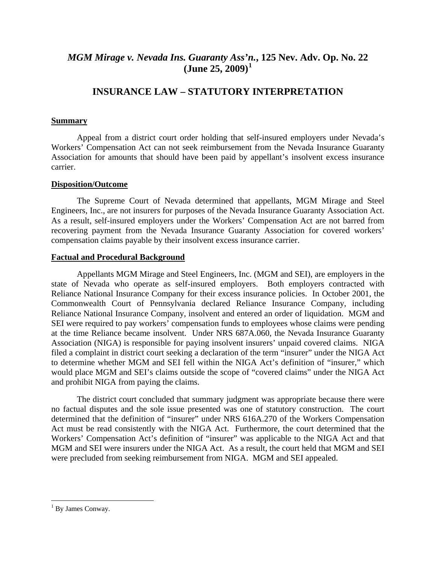### *MGM Mirage v. Nevada Ins. Guaranty Ass'[n.](#page-1-0)***, 125 Nev. Adv. Op. No. 22 (June 25, 2009)[1](#page-1-0)**

## **INSURANCE LAW – STATUTORY INTERPRETATION**

#### **Summary**

 Appeal from a district court order holding that self-insured employers under Nevada's Workers' Compensation Act can not seek reimbursement from the Nevada Insurance Guaranty Association for amounts that should have been paid by appellant's insolvent excess insurance carrier.

#### **Disposition/Outcome**

 The Supreme Court of Nevada determined that appellants, MGM Mirage and Steel Engineers, Inc., are not insurers for purposes of the Nevada Insurance Guaranty Association Act. As a result, self-insured employers under the Workers' Compensation Act are not barred from recovering payment from the Nevada Insurance Guaranty Association for covered workers' compensation claims payable by their insolvent excess insurance carrier.

#### **Factual and Procedural Background**

 Appellants MGM Mirage and Steel Engineers, Inc. (MGM and SEI), are employers in the state of Nevada who operate as self-insured employers. Both employers contracted with Reliance National Insurance Company for their excess insurance policies. In October 2001, the Commonwealth Court of Pennsylvania declared Reliance Insurance Company, including Reliance National Insurance Company, insolvent and entered an order of liquidation. MGM and SEI were required to pay workers' compensation funds to employees whose claims were pending at the time Reliance became insolvent. Under NRS 687A.060, the Nevada Insurance Guaranty Association (NIGA) is responsible for paying insolvent insurers' unpaid covered claims. NIGA filed a complaint in district court seeking a declaration of the term "insurer" under the NIGA Act to determine whether MGM and SEI fell within the NIGA Act's definition of "insurer," which would place MGM and SEI's claims outside the scope of "covered claims" under the NIGA Act and prohibit NIGA from paying the claims.

 The district court concluded that summary judgment was appropriate because there were no factual disputes and the sole issue presented was one of statutory construction. The court determined that the definition of "insurer" under NRS 616A.270 of the Workers Compensation Act must be read consistently with the NIGA Act. Furthermore, the court determined that the Workers' Compensation Act's definition of "insurer" was applicable to the NIGA Act and that MGM and SEI were insurers under the NIGA Act. As a result, the court held that MGM and SEI were precluded from seeking reimbursement from NIGA. MGM and SEI appealed.

<u>.</u>

<span id="page-1-0"></span><sup>&</sup>lt;sup>1</sup> By James Conway.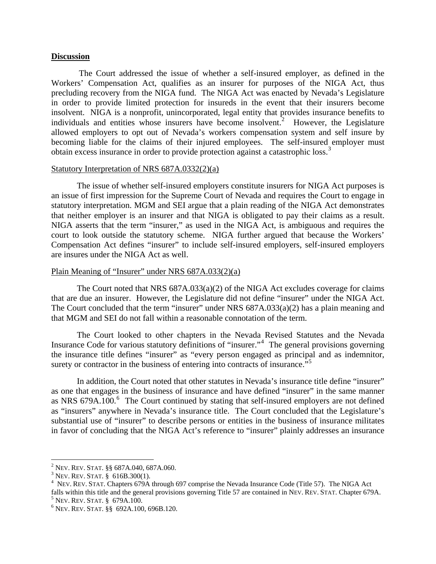#### **Discussion**

 The Court addressed the issue of whether a self-insured employer, as defined in the Workers' Compensation Act, qualifies as an insurer for purposes of the NIGA Act, thus precluding recovery from the NIGA fund. The NIGA Act was enacted by Nevada's Legislature in order to provide limited protection for insureds in the event that their insurers become insolvent. NIGA is a nonprofit, unincorporated, legal entity that provides insurance benefits to individuals and entities whose insurers have become insolvent.<sup>[2](#page-2-0)</sup> However, the Legislature allowed employers to opt out of Nevada's workers compensation system and self insure by becoming liable for the claims of their injured employees. The self-insured employer must obtain excess insurance in order to provide protection against a catastrophic loss.<sup>[3](#page-2-1)</sup>

#### Statutory Interpretation of NRS 687A.0332(2)(a)

 The issue of whether self-insured employers constitute insurers for NIGA Act purposes is an issue of first impression for the Supreme Court of Nevada and requires the Court to engage in statutory interpretation. MGM and SEI argue that a plain reading of the NIGA Act demonstrates that neither employer is an insurer and that NIGA is obligated to pay their claims as a result. NIGA asserts that the term "insurer," as used in the NIGA Act, is ambiguous and requires the court to look outside the statutory scheme. NIGA further argued that because the Workers' Compensation Act defines "insurer" to include self-insured employers, self-insured employers are insures under the NIGA Act as well.

#### Plain Meaning of "Insurer" under NRS 687A.033(2)(a)

 The Court noted that NRS 687A.033(a)(2) of the NIGA Act excludes coverage for claims that are due an insurer. However, the Legislature did not define "insurer" under the NIGA Act. The Court concluded that the term "insurer" under NRS 687A.033(a)(2) has a plain meaning and that MGM and SEI do not fall within a reasonable connotation of the term.

 The Court looked to other chapters in the Nevada Revised Statutes and the Nevada Insurance Code for various statutory definitions of "insurer."[4](#page-2-2) The general provisions governing the insurance title defines "insurer" as "every person engaged as principal and as indemnitor, surety or contractor in the business of entering into contracts of insurance.<sup>[5](#page-2-3)5</sup>

 In addition, the Court noted that other statutes in Nevada's insurance title define "insurer" as one that engages in the business of insurance and have defined "insurer" in the same manner as NRS [6](#page-2-4)79A.100. $^{6}$  The Court continued by stating that self-insured employers are not defined as "insurers" anywhere in Nevada's insurance title. The Court concluded that the Legislature's substantial use of "insurer" to describe persons or entities in the business of insurance militates in favor of concluding that the NIGA Act's reference to "insurer" plainly addresses an insurance

 $\overline{a}$ <sup>2</sup> Nev. Rev. Stat. §§ 687A.040, 687A.060.<br><sup>3</sup> Nev. Rev. Stat. § 616B 300(1)

<span id="page-2-1"></span><span id="page-2-0"></span> $3$  Nev. Rev. Stat. § 616B.300(1).

<span id="page-2-2"></span>NEV. REV. STAT. Chapters 679A through 697 comprise the Nevada Insurance Code (Title 57). The NIGA Act falls within this title and the general provisions governing Title 57 are contained in NEV. REV. STAT. Chapter 679A.

<span id="page-2-3"></span> $5$  Nev. Rev. Stat. § 679A.100.

<span id="page-2-4"></span>NEV. REV. STAT. §§ 692A.100, 696B.120.